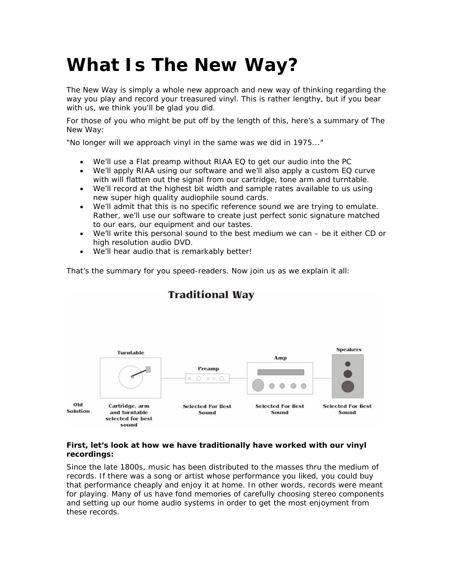# **What Is The New Way?**

The New Way is simply a whole new approach and new way of thinking regarding the way you play and record your treasured vinyl. This is rather lengthy, but if you bear with us, we think you'll be glad you did.

For those of you who might be put off by the length of this, here's a summary of The New Way:

"No longer will we approach vinyl in the same was we did in 1975..."

- We'll use a Flat preamp without RIAA EQ to get our audio into the PC
- We'll apply RIAA using our software and we'll also apply a custom EQ curve with will flatten out the signal from our cartridge, tone arm and turntable.
- We'll record at the highest bit width and sample rates available to us using new super high quality audiophile sound cards.
- We'll admit that this is no specific reference sound we are trying to emulate. Rather, we'll use our software to create just perfect sonic signature matched to our ears, our equipment and our tastes.
- We'll write this personal sound to the best medium we can be it either CD or high resolution audio DVD.
- We'll hear audio that is remarkably better!

That's the summary for you speed-readers. Now join us as we explain it all:



# **Traditional Way**

#### **First, let's look at how we have traditionally have worked with our vinyl recordings:**

Since the late 1800s, music has been distributed to the masses thru the medium of records. If there was a song or artist whose performance you liked, you could buy that performance cheaply and enjoy it at home. In other words, records were meant for playing. Many of us have fond memories of carefully choosing stereo components and setting up our home audio systems in order to get the most enjoyment from these records.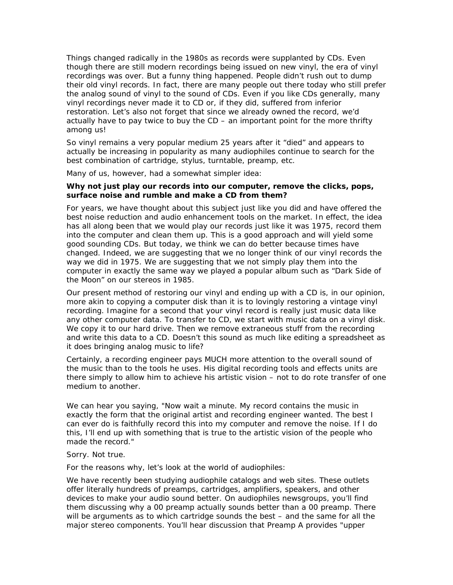Things changed radically in the 1980s as records were supplanted by CDs. Even though there are still modern recordings being issued on new vinyl, the era of vinyl recordings was over. But a funny thing happened. People didn't rush out to dump their old vinyl records. In fact, there are many people out there today who still prefer the analog sound of vinyl to the sound of CDs. Even if you like CDs generally, many vinyl recordings never made it to CD or, if they did, suffered from inferior restoration. Let's also not forget that since we already owned the record, we'd actually have to pay twice to buy the CD – an important point for the more thrifty among us!

So vinyl remains a very popular medium 25 years after it "died" and appears to actually be increasing in popularity as many audiophiles continue to search for the best combination of cartridge, stylus, turntable, preamp, etc.

Many of us, however, had a somewhat simpler idea:

#### *Why not just play our records into our computer, remove the clicks, pops, surface noise and rumble and make a CD from them?*

For years, we have thought about this subject just like you did and have offered the best noise reduction and audio enhancement tools on the market. In effect, the idea has all along been that we would play our records just like it was 1975, record them into the computer and clean them up. This is a good approach and will yield some good sounding CDs. But today, we think we can do better because times have changed. Indeed, we are suggesting that we no longer think of our vinyl records the way we did in 1975. We are suggesting that we not simply play them into the computer in exactly the same way we played a popular album such as "Dark Side of the Moon" on our stereos in 1985.

Our present method of restoring our vinyl and ending up with a CD is, in our opinion, more akin to copying a computer disk than it is to lovingly restoring a vintage vinyl recording. Imagine for a second that your vinyl record is really just music data like any other computer data. To transfer to CD, we start with music data on a vinyl disk. We copy it to our hard drive. Then we remove extraneous stuff from the recording and write this data to a CD. Doesn't this sound as much like editing a spreadsheet as it does bringing analog music to life?

Certainly, a recording engineer pays MUCH more attention to the overall sound of the music than to the tools he uses. His digital recording tools and effects units are there simply to allow him to achieve his artistic vision – not to do rote transfer of one medium to another.

We can hear you saying, "Now wait a minute. My record contains the music in exactly the form that the original artist and recording engineer wanted. The best I can ever do is faithfully record this into my computer and remove the noise. If I do this, I'll end up with something that is true to the artistic vision of the people who made the record."

#### Sorry. Not true.

For the reasons why, let's look at the world of audiophiles:

We have recently been studying audiophile catalogs and web sites. These outlets offer literally hundreds of preamps, cartridges, amplifiers, speakers, and other devices to make your audio sound better. On audiophiles newsgroups, you'll find them discussing why a 00 preamp actually sounds better than a 00 preamp. There will be arguments as to which cartridge sounds the best – and the same for all the major stereo components. You'll hear discussion that Preamp A provides "upper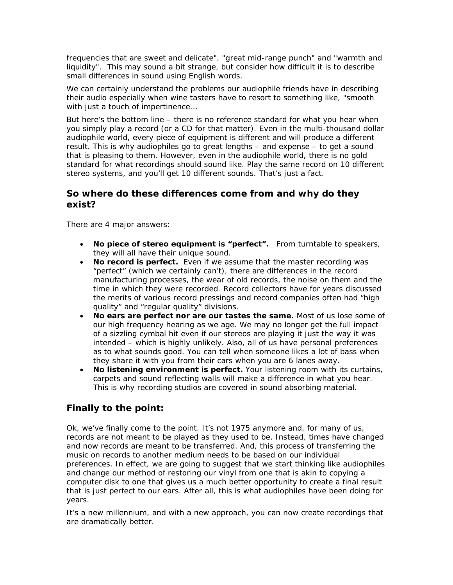frequencies that are sweet and delicate", "great mid-range punch" and "warmth and liquidity". This may sound a bit strange, but consider how difficult it is to describe small differences in sound using English words.

We can certainly understand the problems our audiophile friends have in describing their audio especially when wine tasters have to resort to something like, "smooth with just a touch of impertinence...

But here's the bottom line – there is no reference standard for what you hear when you simply play a record (or a CD for that matter). Even in the multi-thousand dollar audiophile world, every piece of equipment is different and will produce a different result. This is why audiophiles go to great lengths – and expense – to get a sound that is pleasing to them. However, even in the audiophile world, there is no gold standard for what recordings should sound like. Play the same record on 10 different stereo systems, and you'll get 10 different sounds. That's just a fact.

# **So where do these differences come from and why do they exist?**

There are 4 major answers:

- **No piece of stereo equipment is "perfect".** From turntable to speakers, they will all have their unique sound.
- **No record is perfect.** Even if we assume that the master recording was "perfect" (which we certainly can't), there are differences in the record manufacturing processes, the wear of old records, the noise on them and the time in which they were recorded. Record collectors have for years discussed the merits of various record pressings and record companies often had "high quality" and "regular quality" divisions.
- **No ears are perfect nor are our tastes the same.** Most of us lose some of our high frequency hearing as we age. We may no longer get the full impact of a sizzling cymbal hit even if our stereos are playing it just the way it was intended – which is highly unlikely. Also, all of us have personal preferences as to what sounds good. You can tell when someone likes a lot of bass when they share it with you from their cars when you are 6 lanes away.
- **No listening environment is perfect.** Your listening room with its curtains, carpets and sound reflecting walls will make a difference in what you hear. This is why recording studios are covered in sound absorbing material.

# **Finally to the point:**

Ok, we've finally come to the point. It's not 1975 anymore and, for many of us, records are not meant to be played as they used to be. Instead, times have changed and now records are meant to be transferred. And, this process of transferring the music on records to another medium needs to be based on our individual preferences. In effect, we are going to suggest that we start thinking like audiophiles and change our method of restoring our vinyl from one that is akin to copying a computer disk to one that gives us a much better opportunity to create a final result that is just perfect to our ears. After all, this is what audiophiles have been doing for years.

It's a new millennium, and with a new approach, you can now create recordings that are dramatically better.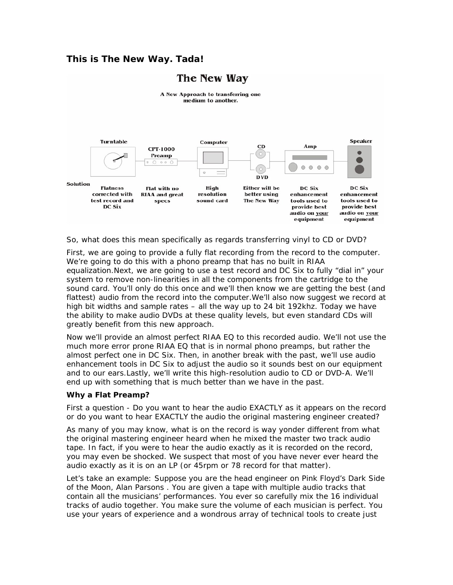# **This is The New Way. Tada!**

# The New Way



So, what does this mean specifically as regards transferring vinyl to CD or DVD?

First, we are going to provide a fully flat recording from the record to the computer. We're going to do this with a phono preamp that has no built in RIAA equalization.Next, we are going to use a test record and DC Six to fully "dial in" your system to remove non-linearities in all the components from the cartridge to the sound card. You'll only do this once and we'll then know we are getting the best (and flattest) audio from the record into the computer.We'll also now suggest we record at high bit widths and sample rates – all the way up to 24 bit 192khz. Today we have the ability to make audio DVDs at these quality levels, but even standard CDs will greatly benefit from this new approach.

Now we'll provide an almost perfect RIAA EQ to this recorded audio. We'll not use the much more error prone RIAA EQ that is in normal phono preamps, but rather the almost perfect one in DC Six. Then, in another break with the past, we'll use audio enhancement tools in DC Six to adjust the audio so it sounds best on our equipment and to our ears.Lastly, we'll write this high-resolution audio to CD or DVD-A. We'll end up with something that is much better than we have in the past.

#### **Why a Flat Preamp?**

First a question - Do you want to hear the audio EXACTLY as it appears on the record or do you want to hear EXACTLY the audio the original mastering engineer created?

As many of you may know, what is on the record is way yonder different from what the original mastering engineer heard when he mixed the master two track audio tape. In fact, if you were to hear the audio exactly as it is recorded on the record, you may even be shocked. We suspect that most of you have never ever heard the audio exactly as it is on an LP (or 45rpm or 78 record for that matter).

Let's take an example: Suppose you are the head engineer on Pink Floyd's Dark Side of the Moon, Alan Parsons . You are given a tape with multiple audio tracks that contain all the musicians' performances. You ever so carefully mix the 16 individual tracks of audio together. You make sure the volume of each musician is perfect. You use your years of experience and a wondrous array of technical tools to create just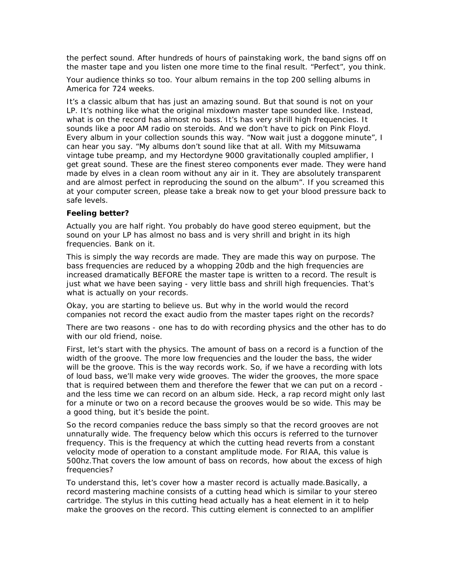the perfect sound. After hundreds of hours of painstaking work, the band signs off on the master tape and you listen one more time to the final result. "Perfect", you think.

Your audience thinks so too. Your album remains in the top 200 selling albums in America for 724 weeks.

It's a classic album that has just an amazing sound. But that sound is not on your LP. It's nothing like what the original mixdown master tape sounded like. Instead, what is on the record has almost no bass. It's has very shrill high frequencies. It sounds like a poor AM radio on steroids. And we don't have to pick on Pink Floyd. Every album in your collection sounds this way. "Now wait just a doggone minute", I can hear you say. "My albums don't sound like that at all. With my Mitsuwama vintage tube preamp, and my Hectordyne 9000 gravitationally coupled amplifier, I get great sound. These are the finest stereo components ever made. They were hand made by elves in a clean room without any air in it. They are absolutely transparent and are almost perfect in reproducing the sound on the album". If you screamed this at your computer screen, please take a break now to get your blood pressure back to safe levels.

#### **Feeling better?**

Actually you are half right. You probably do have good stereo equipment, but the sound on your LP has almost no bass and is very shrill and bright in its high frequencies. Bank on it.

This is simply the way records are made. They are made this way on purpose. The bass frequencies are reduced by a whopping 20db and the high frequencies are increased dramatically BEFORE the master tape is written to a record. The result is just what we have been saying - very little bass and shrill high frequencies. That's what is actually on your records.

Okay, you are starting to believe us. But why in the world would the record companies not record the exact audio from the master tapes right on the records?

There are two reasons - one has to do with recording physics and the other has to do with our old friend, noise.

First, let's start with the physics. The amount of bass on a record is a function of the width of the groove. The more low frequencies and the louder the bass, the wider will be the groove. This is the way records work. So, if we have a recording with lots of loud bass, we'll make very wide grooves. The wider the grooves, the more space that is required between them and therefore the fewer that we can put on a record and the less time we can record on an album side. Heck, a rap record might only last for a minute or two on a record because the grooves would be so wide. This may be a good thing, but it's beside the point.

So the record companies reduce the bass simply so that the record grooves are not unnaturally wide. The frequency below which this occurs is referred to the turnover frequency. This is the frequency at which the cutting head reverts from a constant velocity mode of operation to a constant amplitude mode. For RIAA, this value is 500hz.That covers the low amount of bass on records, how about the excess of high frequencies?

To understand this, let's cover how a master record is actually made.Basically, a record mastering machine consists of a cutting head which is similar to your stereo cartridge. The stylus in this cutting head actually has a heat element in it to help make the grooves on the record. This cutting element is connected to an amplifier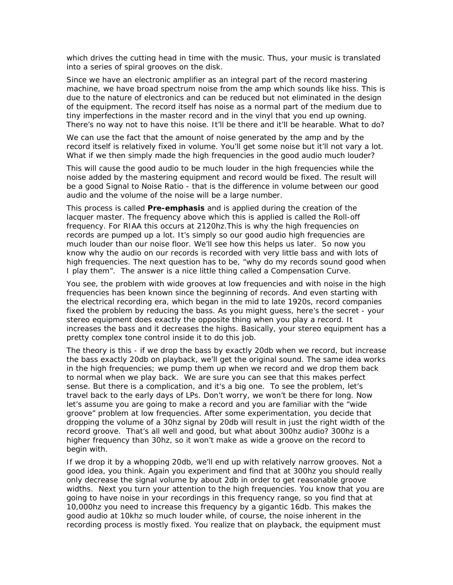which drives the cutting head in time with the music. Thus, your music is translated into a series of spiral grooves on the disk.

Since we have an electronic amplifier as an integral part of the record mastering machine, we have broad spectrum noise from the amp which sounds like hiss. This is due to the nature of electronics and can be reduced but not eliminated in the design of the equipment. The record itself has noise as a normal part of the medium due to tiny imperfections in the master record and in the vinyl that you end up owning. There's no way not to have this noise. It'll be there and it'll be hearable. What to do?

We can use the fact that the amount of noise generated by the amp and by the record itself is relatively fixed in volume. You'll get some noise but it'll not vary a lot. What if we then simply made the high frequencies in the good audio much louder?

This will cause the good audio to be much louder in the high frequencies while the noise added by the mastering equipment and record would be fixed. The result will be a good Signal to Noise Ratio - that is the difference in volume between our good audio and the volume of the noise will be a large number.

This process is called **Pre-emphasis** and is applied during the creation of the lacquer master. The frequency above which this is applied is called the Roll-off frequency. For RIAA this occurs at 2120hz.This is why the high frequencies on records are pumped up a lot. It's simply so our good audio high frequencies are much louder than our noise floor. We'll see how this helps us later. So now you know why the audio on our records is recorded with very little bass and with lots of high frequencies. The next question has to be, "why do my records sound good when I play them". The answer is a nice little thing called a Compensation Curve.

You see, the problem with wide grooves at low frequencies and with noise in the high frequencies has been known since the beginning of records. And even starting with the electrical recording era, which began in the mid to late 1920s, record companies fixed the problem by reducing the bass. As you might guess, here's the secret - your stereo equipment does exactly the opposite thing when you play a record. It increases the bass and it decreases the highs. Basically, your stereo equipment has a pretty complex tone control inside it to do this job.

The theory is this - if we drop the bass by exactly 20db when we record, but increase the bass exactly 20db on playback, we'll get the original sound. The same idea works in the high frequencies; we pump them up when we record and we drop them back to normal when we play back. We are sure you can see that this makes perfect sense. But there is a complication, and it's a big one. To see the problem, let's travel back to the early days of LPs. Don't worry, we won't be there for long. Now let's assume you are going to make a record and you are familiar with the "wide groove" problem at low frequencies. After some experimentation, you decide that dropping the volume of a 30hz signal by 20db will result in just the right width of the record groove. That's all well and good, but what about 300hz audio? 300hz is a higher frequency than 30hz, so it won't make as wide a groove on the record to begin with.

If we drop it by a whopping 20db, we'll end up with relatively narrow grooves. Not a good idea, you think. Again you experiment and find that at 300hz you should really only decrease the signal volume by about 2db in order to get reasonable groove widths. Next you turn your attention to the high frequencies. You know that you are going to have noise in your recordings in this frequency range, so you find that at 10,000hz you need to increase this frequency by a gigantic 16db. This makes the good audio at 10khz so much louder while, of course, the noise inherent in the recording process is mostly fixed. You realize that on playback, the equipment must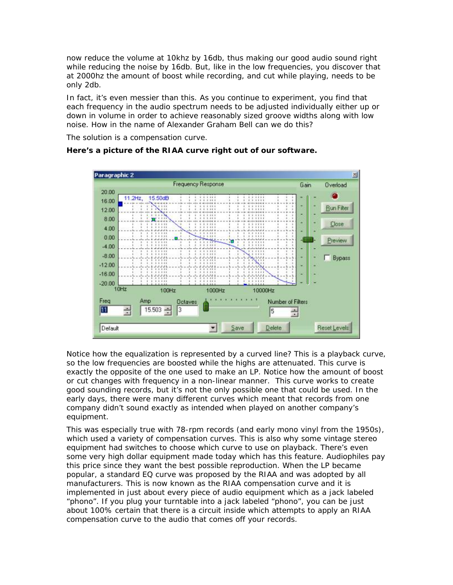now reduce the volume at 10khz by 16db, thus making our good audio sound right while reducing the noise by 16db. But, like in the low frequencies, you discover that at 2000hz the amount of boost while recording, and cut while playing, needs to be only 2db.

In fact, it's even messier than this. As you continue to experiment, you find that each frequency in the audio spectrum needs to be adjusted individually either up or down in volume in order to achieve reasonably sized groove widths along with low noise. How in the name of Alexander Graham Bell can we do this?

The solution is a compensation curve.

# **Here's a picture of the RIAA curve right out of our software.**



Notice how the equalization is represented by a curved line? This is a playback curve, so the low frequencies are boosted while the highs are attenuated. This curve is exactly the opposite of the one used to make an LP. Notice how the amount of boost or cut changes with frequency in a non-linear manner. This curve works to create good sounding records, but it's not the only possible one that could be used. In the early days, there were many different curves which meant that records from one company didn't sound exactly as intended when played on another company's equipment.

This was especially true with 78-rpm records (and early mono vinyl from the 1950s), which used a variety of compensation curves. This is also why some vintage stereo equipment had switches to choose which curve to use on playback. There's even some very high dollar equipment made today which has this feature. Audiophiles pay this price since they want the best possible reproduction. When the LP became popular, a standard EQ curve was proposed by the RIAA and was adopted by all manufacturers. This is now known as the RIAA compensation curve and it is implemented in just about every piece of audio equipment which as a jack labeled "phono". If you plug your turntable into a jack labeled "phono", you can be just about 100% certain that there is a circuit inside which attempts to apply an RIAA compensation curve to the audio that comes off your records.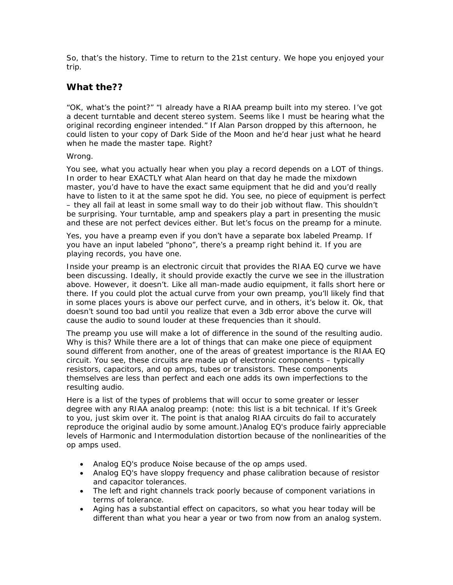So, that's the history. Time to return to the 21st century. We hope you enjoyed your trip.

# **What the??**

"OK, what's the point?" "I already have a RIAA preamp built into my stereo. I've got a decent turntable and decent stereo system. Seems like I must be hearing what the original recording engineer intended." If Alan Parson dropped by this afternoon, he could listen to your copy of Dark Side of the Moon and he'd hear just what he heard when he made the master tape. Right?

#### Wrong.

You see, what you actually hear when you play a record depends on a LOT of things. In order to hear EXACTLY what Alan heard on that day he made the mixdown master, you'd have to have the exact same equipment that he did and you'd really have to listen to it at the same spot he did. You see, no piece of equipment is perfect – they all fail at least in some small way to do their job without flaw. This shouldn't be surprising. Your turntable, amp and speakers play a part in presenting the music and these are not perfect devices either. But let's focus on the preamp for a minute.

Yes, you have a preamp even if you don't have a separate box labeled Preamp. If you have an input labeled "phono", there's a preamp right behind it. If you are playing records, you have one.

Inside your preamp is an electronic circuit that provides the RIAA EQ curve we have been discussing. Ideally, it should provide exactly the curve we see in the illustration above. However, it doesn't. Like all man-made audio equipment, it falls short here or there. If you could plot the actual curve from your own preamp, you'll likely find that in some places yours is above our perfect curve, and in others, it's below it. Ok, that doesn't sound too bad until you realize that even a 3db error above the curve will cause the audio to sound louder at these frequencies than it should.

The preamp you use will make a lot of difference in the sound of the resulting audio. Why is this? While there are a lot of things that can make one piece of equipment sound different from another, one of the areas of greatest importance is the RIAA EQ circuit. You see, these circuits are made up of electronic components – typically resistors, capacitors, and op amps, tubes or transistors. These components themselves are less than perfect and each one adds its own imperfections to the resulting audio.

Here is a list of the types of problems that will occur to some greater or lesser degree with any RIAA analog preamp: (note: this list is a bit technical. If it's Greek to you, just skim over it. The point is that analog RIAA circuits do fail to accurately reproduce the original audio by some amount.)Analog EQ's produce fairly appreciable levels of Harmonic and Intermodulation distortion because of the nonlinearities of the op amps used.

- Analog EQ's produce Noise because of the op amps used.
- Analog EQ's have sloppy frequency and phase calibration because of resistor and capacitor tolerances.
- The left and right channels track poorly because of component variations in terms of tolerance.
- Aging has a substantial effect on capacitors, so what you hear today will be different than what you hear a year or two from now from an analog system.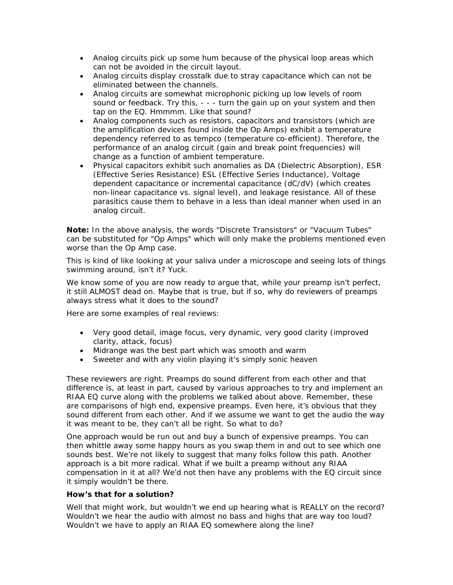- Analog circuits pick up some hum because of the physical loop areas which can not be avoided in the circuit layout.
- Analog circuits display crosstalk due to stray capacitance which can not be eliminated between the channels.
- Analog circuits are somewhat microphonic picking up low levels of room sound or feedback. Try this, - - - turn the gain up on your system and then tap on the EQ. Hmmmm. Like that sound?
- Analog components such as resistors, capacitors and transistors (which are the amplification devices found inside the Op Amps) exhibit a temperature dependency referred to as tempco (temperature co-efficient). Therefore, the performance of an analog circuit (gain and break point frequencies) will change as a function of ambient temperature.
- Physical capacitors exhibit such anomalies as DA (Dielectric Absorption), ESR (Effective Series Resistance) ESL (Effective Series Inductance), Voltage dependent capacitance or incremental capacitance (dC/dV) (which creates non-linear capacitance vs. signal level), and leakage resistance. All of these parasitics cause them to behave in a less than ideal manner when used in an analog circuit.

**Note:** In the above analysis, the words "Discrete Transistors" or "Vacuum Tubes" can be substituted for "Op Amps" which will only make the problems mentioned even worse than the Op Amp case.

This is kind of like looking at your saliva under a microscope and seeing lots of things swimming around, isn't it? Yuck.

We know some of you are now ready to argue that, while your preamp isn't perfect, it still ALMOST dead on. Maybe that is true, but if so, why do reviewers of preamps always stress what it does to the sound?

Here are some examples of real reviews:

- Very good detail, image focus, very dynamic, very good clarity (improved clarity, attack, focus)
- Midrange was the best part which was smooth and warm
- Sweeter and with any violin playing it's simply sonic heaven

These reviewers are right. Preamps do sound different from each other and that difference is, at least in part, caused by various approaches to try and implement an RIAA EQ curve along with the problems we talked about above. Remember, these are comparisons of high end, expensive preamps. Even here, it's obvious that they sound different from each other. And if we assume we want to get the audio the way it was meant to be, they can't all be right. So what to do?

One approach would be run out and buy a bunch of expensive preamps. You can then whittle away some happy hours as you swap them in and out to see which one sounds best. We're not likely to suggest that many folks follow this path. Another approach is a bit more radical. What if we built a preamp without any RIAA compensation in it at all? We'd not then have any problems with the EQ circuit since it simply wouldn't be there.

#### **How's that for a solution?**

Well that might work, but wouldn't we end up hearing what is REALLY on the record? Wouldn't we hear the audio with almost no bass and highs that are way too loud? Wouldn't we have to apply an RIAA EQ somewhere along the line?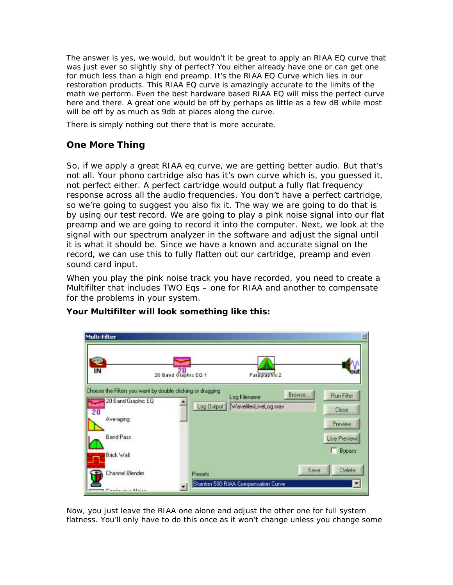The answer is yes, we would, but wouldn't it be great to apply an RIAA EQ curve that was just ever so slightly shy of perfect? You either already have one or can get one for much less than a high end preamp. It's the RIAA EQ Curve which lies in our restoration products. This RIAA EQ curve is amazingly accurate to the limits of the math we perform. Even the best hardware based RIAA EQ will miss the perfect curve here and there. A great one would be off by perhaps as little as a few dB while most will be off by as much as 9db at places along the curve.

There is simply nothing out there that is more accurate.

# **One More Thing**

So, if we apply a great RIAA eq curve, we are getting better audio. But that's not all. Your phono cartridge also has it's own curve which is, you guessed it, not perfect either. A perfect cartridge would output a fully flat frequency response across all the audio frequencies. You don't have a perfect cartridge, so we're going to suggest you also fix it. The way we are going to do that is by using our test record. We are going to play a pink noise signal into our flat preamp and we are going to record it into the computer. Next, we look at the signal with our spectrum analyzer in the software and adjust the signal until it is what it should be. Since we have a known and accurate signal on the record, we can use this to fully flatten out our cartridge, preamp and even sound card input.

When you play the pink noise track you have recorded, you need to create a Multifilter that includes TWO Eqs – one for RIAA and another to compensate for the problems in your system.



## **Your Multifilter will look something like this:**

Now, you just leave the RIAA one alone and adjust the other one for full system flatness. You'll only have to do this once as it won't change unless you change some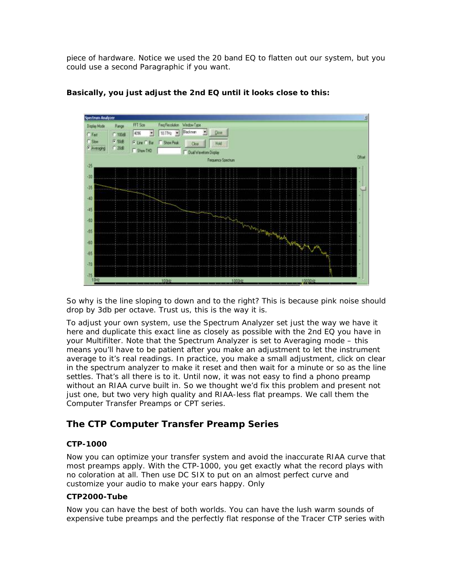piece of hardware. Notice we used the 20 band EQ to flatten out our system, but you could use a second Paragraphic if you want.



#### **Basically, you just adjust the 2nd EQ until it looks close to this:**

So why is the line sloping to down and to the right? This is because pink noise should drop by 3db per octave. Trust us, this is the way it is.

To adjust your own system, use the Spectrum Analyzer set just the way we have it here and duplicate this exact line as closely as possible with the 2nd EQ you have in your Multifilter. Note that the Spectrum Analyzer is set to Averaging mode – this means you'll have to be patient after you make an adjustment to let the instrument average to it's real readings. In practice, you make a small adjustment, click on clear in the spectrum analyzer to make it reset and then wait for a minute or so as the line settles. That's all there is to it. Until now, it was not easy to find a phono preamp without an RIAA curve built in. So we thought we'd fix this problem and present not just one, but two very high quality and RIAA-less flat preamps. We call them the Computer Transfer Preamps or CPT series.

# **The CTP Computer Transfer Preamp Series**

#### **CTP-1000**

Now you can optimize your transfer system and avoid the inaccurate RIAA curve that most preamps apply. With the CTP-1000, you get exactly what the record plays with no coloration at all. Then use DC SIX to put on an almost perfect curve and customize your audio to make your ears happy. Only

#### **CTP2000-Tube**

Now you can have the best of both worlds. You can have the lush warm sounds of expensive tube preamps and the perfectly flat response of the Tracer CTP series with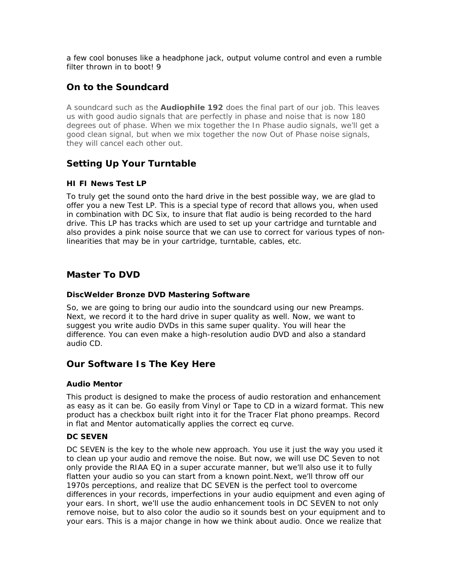a few cool bonuses like a headphone jack, output volume control and even a rumble filter thrown in to bootl 9

# **On to the Soundcard**

A soundcard such as the **Audiophile 192** does the final part of our job. This leaves us with good audio signals that are perfectly in phase and noise that is now 180 degrees out of phase. When we mix together the In Phase audio signals, we'll get a good clean signal, but when we mix together the now Out of Phase noise signals, they will cancel each other out.

# **Setting Up Your Turntable**

#### **HI FI News Test LP**

To truly get the sound onto the hard drive in the best possible way, we are glad to offer you a new Test LP. This is a special type of record that allows you, when used in combination with DC Six, to insure that flat audio is being recorded to the hard drive. This LP has tracks which are used to set up your cartridge and turntable and also provides a pink noise source that we can use to correct for various types of nonlinearities that may be in your cartridge, turntable, cables, etc.

# **Master To DVD**

#### **DiscWelder Bronze DVD Mastering Software**

So, we are going to bring our audio into the soundcard using our new Preamps. Next, we record it to the hard drive in super quality as well. Now, we want to suggest you write audio DVDs in this same super quality. You will hear the difference. You can even make a high-resolution audio DVD and also a standard audio CD.

## **Our Software Is The Key Here**

#### **Audio Mentor**

This product is designed to make the process of audio restoration and enhancement as easy as it can be. Go easily from Vinyl or Tape to CD in a wizard format. This new product has a checkbox built right into it for the Tracer Flat phono preamps. Record in flat and Mentor automatically applies the correct eq curve.

#### **DC SEVEN**

DC SEVEN is the key to the whole new approach. You use it just the way you used it to clean up your audio and remove the noise. But now, we will use DC Seven to not only provide the RIAA EQ in a super accurate manner, but we'll also use it to fully flatten your audio so you can start from a known point.Next, we'll throw off our 1970s perceptions, and realize that DC SEVEN is the perfect tool to overcome differences in your records, imperfections in your audio equipment and even aging of your ears. In short, we'll use the audio enhancement tools in DC SEVEN to not only remove noise, but to also color the audio so it sounds best on your equipment and to your ears. This is a major change in how we think about audio. Once we realize that